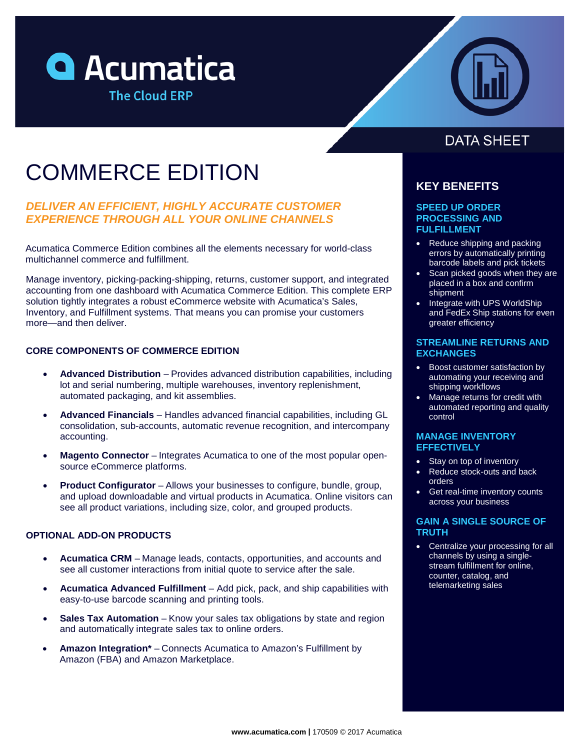



# COMMERCE EDITION

## *DELIVER AN EFFICIENT, HIGHLY ACCURATE CUSTOMER EXPERIENCE THROUGH ALL YOUR ONLINE CHANNELS*

Acumatica Commerce Edition combines all the elements necessary for world-class multichannel commerce and fulfillment.

Manage inventory, picking-packing-shipping, returns, customer support, and integrated accounting from one dashboard with Acumatica Commerce Edition. This complete ERP solution tightly integrates a robust eCommerce website with Acumatica's Sales, Inventory, and Fulfillment systems. That means you can promise your customers more—and then deliver.

## **CORE COMPONENTS OF COMMERCE EDITION**

- **Advanced Distribution** Provides advanced distribution capabilities, including lot and serial numbering, multiple warehouses, inventory replenishment, automated packaging, and kit assemblies.
- **Advanced Financials** Handles advanced financial capabilities, including GL consolidation, sub-accounts, automatic revenue recognition, and intercompany accounting.
- **Magento Connector** Integrates Acumatica to one of the most popular opensource eCommerce platforms.
- **Product Configurator** Allows your businesses to configure, bundle, group, and upload downloadable and virtual products in Acumatica. Online visitors can see all product variations, including size, color, and grouped products.

## **OPTIONAL ADD-ON PRODUCTS**

- **Acumatica CRM** Manage leads, contacts, opportunities, and accounts and see all customer interactions from initial quote to service after the sale.
- **Acumatica Advanced Fulfillment** Add pick, pack, and ship capabilities with easy-to-use barcode scanning and printing tools.
- **Sales Tax Automation** Know your sales tax obligations by state and region and automatically integrate sales tax to online orders.
- **Amazon Integration\*** Connects Acumatica to Amazon's Fulfillment by Amazon (FBA) and Amazon Marketplace.

## **DATA SHEET**

## **KEY BENEFITS**

#### **SPEED UP ORDER PROCESSING AND FULFILLMENT**

- Reduce shipping and packing errors by automatically printing barcode labels and pick tickets
- Scan picked goods when they are placed in a box and confirm shipment
- Integrate with UPS WorldShip and FedEx Ship stations for even greater efficiency

#### **STREAMLINE RETURNS AND EXCHANGES**

- Boost customer satisfaction by automating your receiving and shipping workflows
- Manage returns for credit with automated reporting and quality control

### **MANAGE INVENTORY EFFECTIVELY**

- Stay on top of inventory
- Reduce stock-outs and back orders
- Get real-time inventory counts across your business

## **GAIN A SINGLE SOURCE OF TRUTH**

• Centralize your processing for all channels by using a singlestream fulfillment for online, counter, catalog, and telemarketing sales